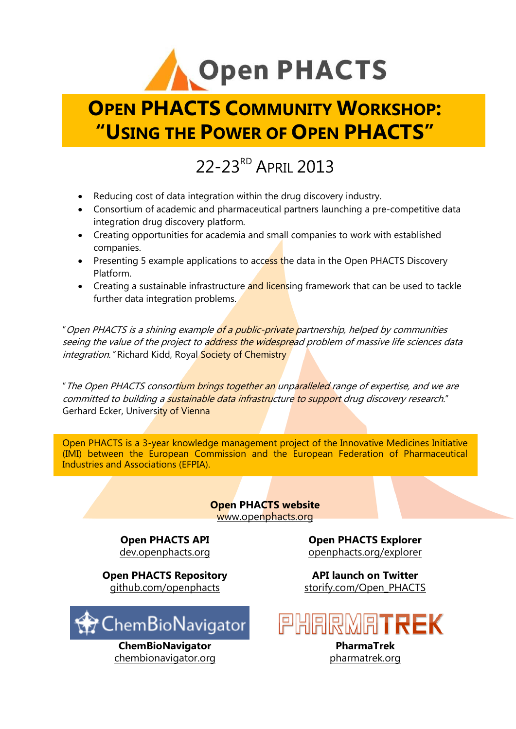

# **OPEN PHACTS COMMUNITY WORKSHOP: "USING THE POWER OF OPEN PHACTS"**

## 22-23<sup>RD</sup> APRIL 2013

- Reducing cost of data integration within the drug discovery industry.
- Consortium of academic and pharmaceutical partners launching a pre-competitive data integration drug discovery platform.
- Creating opportunities for academia and small companies to work with established companies.
- Presenting 5 example applications to access the data in the Open PHACTS Discovery Platform.
- Creating a sustainable infrastructure and licensing framework that can be used to tackle further data integration problems.

"Open PHACTS is a shining example of a public-private partnership, helped by communities seeing the value of the project to address the widespread problem of massive life sciences data integration." Richard Kidd, Royal Society of Chemistry

"The Open PHACTS consortium brings together an unparalleled range of expertise, and we are committed to building a sustainable data infrastructure to support drug discovery research." Gerhard Ecker, University of Vienna

Open PHACTS is a 3-year knowledge management project of the Innovative Medicines Initiative (IMI) between the European Commission and the European Federation of Pharmaceutical Industries and Associations (EFPIA).

#### **Open PHACTS website** [www.openphacts.org](http://www.openphacts.org/)

**Open PHACTS API** [dev.openphacts.org](https://dev.openphacts.org/)

**Open PHACTS Repository** [github.com/openphacts](http://www.github.com/openphacts)



[chembionavigator.org](http://www.chembionavigator.org/) [pharmatrek.org](http://www.pharmatrek.org/)

**Open PHACTS Explorer** [openphacts.org/explorer](https://www.openphacts.org/explorer)

**API launch on Twitter** [storify.com/Open\\_PHACTS](http://storify.com/Open_PHACTS/open-phacts-api-launch)

# PHARMATREK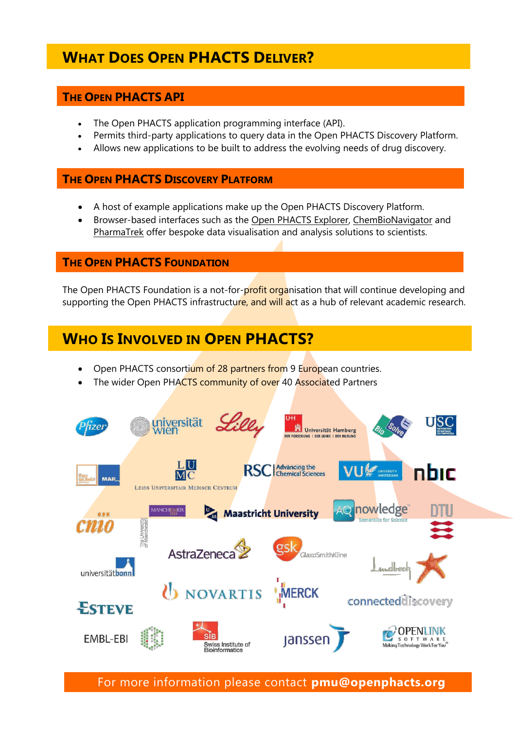## **WHAT DOES OPEN PHACTS DELIVER?**

#### **THE OPEN PHACTS API**

- The Open PHACTS application programming interface (API).
- Permits third-party applications to query data in the Open PHACTS Discovery Platform.
- Allows new applications to be built to address the evolving needs of drug discovery.

#### **THE OPEN PHACTS DISCOVERY PLATFORM**

- A host of example applications make up the Open PHACTS Discovery Platform.
- Browser-based interfaces such as the [Open PHACTS Explorer,](https://www.openphacts.org/explorer) [ChemBioNavigator](http://www.chembionavigator.org/) and [PharmaTrek](http://www.pharmatrek.org/) offer bespoke data visualisation and analysis solutions to scientists.

#### **THE OPEN PHACTS FOUNDATION**

The Open PHACTS Foundation is a not-for-profit organisation that will continue developing and supporting the Open PHACTS infrastructure, and will act as a hub of relevant academic research.

## **WHO IS INVOLVED IN OPEN PHACTS?**

- Open PHACTS consortium of 28 partners from 9 European countries.
- The wider Open PHACTS community of over 40 Associated Partners



For more information please contact **pmu@openphacts.org**